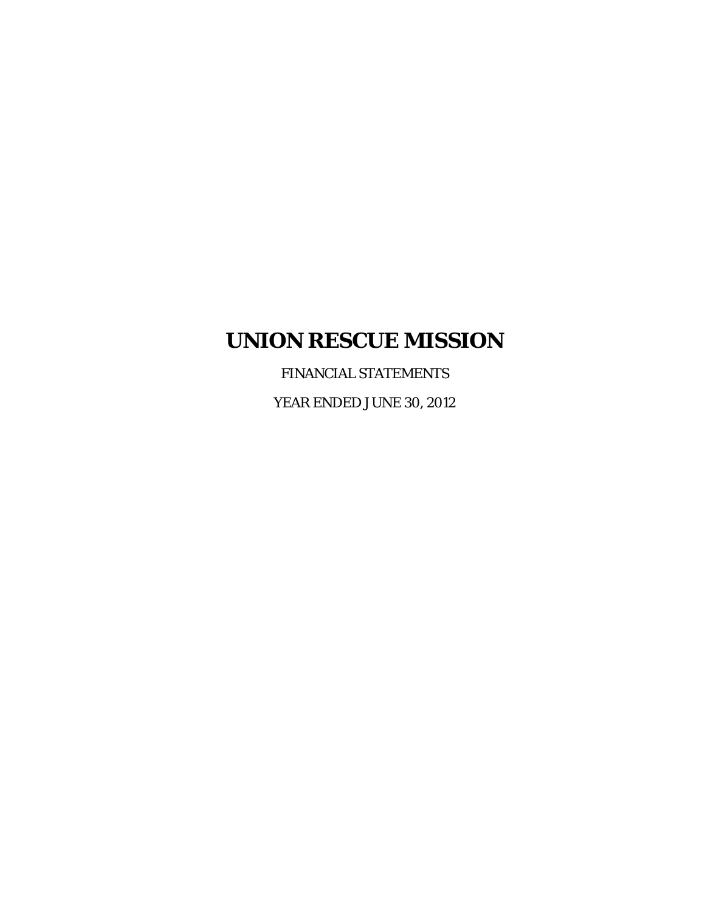FINANCIAL STATEMENTS

YEAR ENDED JUNE 30, 2012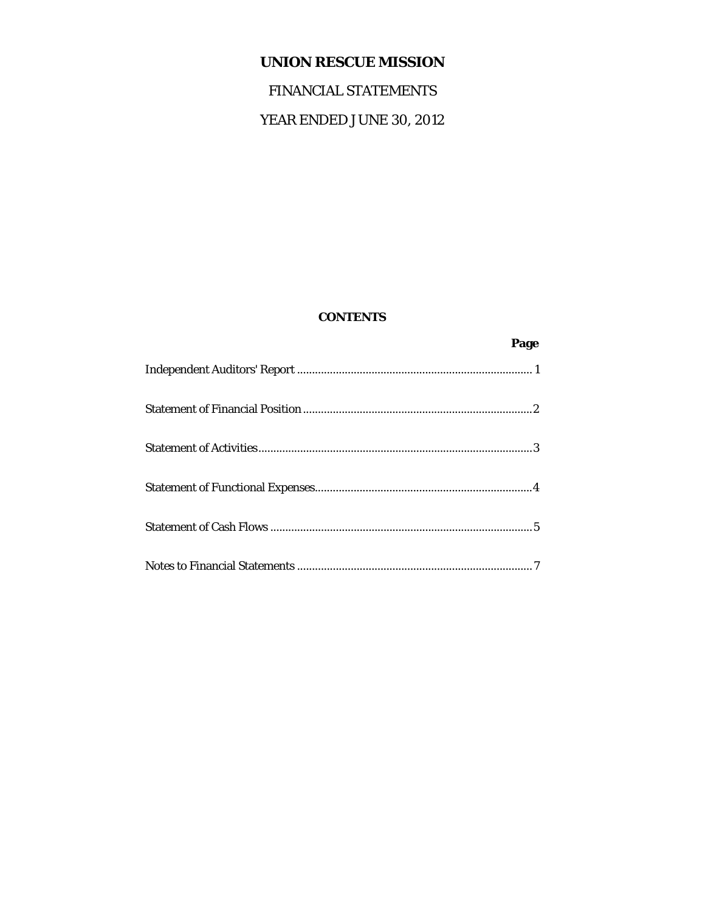## FINANCIAL STATEMENTS

## YEAR ENDED JUNE 30, 2012

## **CONTENTS**

| Page |
|------|
|      |
|      |
|      |
|      |
|      |
|      |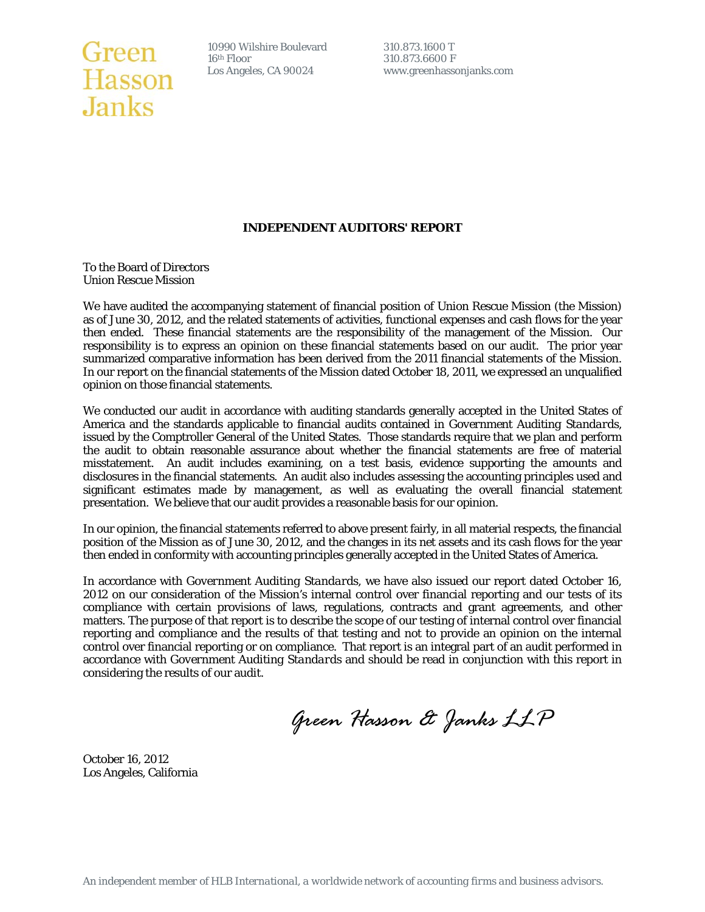# Green 10990 Wilshire Boulevan<br>Hasson Los Angeles, CA 90024 **Janks**

10990 Wilshire Boulevard 310.873.1600 T<br>16<sup>th</sup> Floor 310.873.6600 F

www.greenhassonjanks.com

#### **INDEPENDENT AUDITORS' REPORT**

To the Board of Directors Union Rescue Mission

We have audited the accompanying statement of financial position of Union Rescue Mission (the Mission) as of June 30, 2012, and the related statements of activities, functional expenses and cash flows for the year then ended. These financial statements are the responsibility of the management of the Mission. Our responsibility is to express an opinion on these financial statements based on our audit. The prior year summarized comparative information has been derived from the 2011 financial statements of the Mission. In our report on the financial statements of the Mission dated October 18, 2011, we expressed an unqualified opinion on those financial statements.

We conducted our audit in accordance with auditing standards generally accepted in the United States of America and the standards applicable to financial audits contained in *Government Auditing Standards,* issued by the Comptroller General of the United States. Those standards require that we plan and perform the audit to obtain reasonable assurance about whether the financial statements are free of material misstatement. An audit includes examining, on a test basis, evidence supporting the amounts and disclosures in the financial statements. An audit also includes assessing the accounting principles used and significant estimates made by management, as well as evaluating the overall financial statement presentation. We believe that our audit provides a reasonable basis for our opinion.

In our opinion, the financial statements referred to above present fairly, in all material respects, the financial position of the Mission as of June 30, 2012, and the changes in its net assets and its cash flows for the year then ended in conformity with accounting principles generally accepted in the United States of America.

In accordance with *Government Auditing Standards*, we have also issued our report dated October 16, 2012 on our consideration of the Mission's internal control over financial reporting and our tests of its compliance with certain provisions of laws, regulations, contracts and grant agreements, and other matters. The purpose of that report is to describe the scope of our testing of internal control over financial reporting and compliance and the results of that testing and not to provide an opinion on the internal control over financial reporting or on compliance. That report is an integral part of an audit performed in accordance with *Government Auditing Standards* and should be read in conjunction with this report in considering the results of our audit.

*Green Hasson & Janks LLP* 

October 16, 2012 Los Angeles, California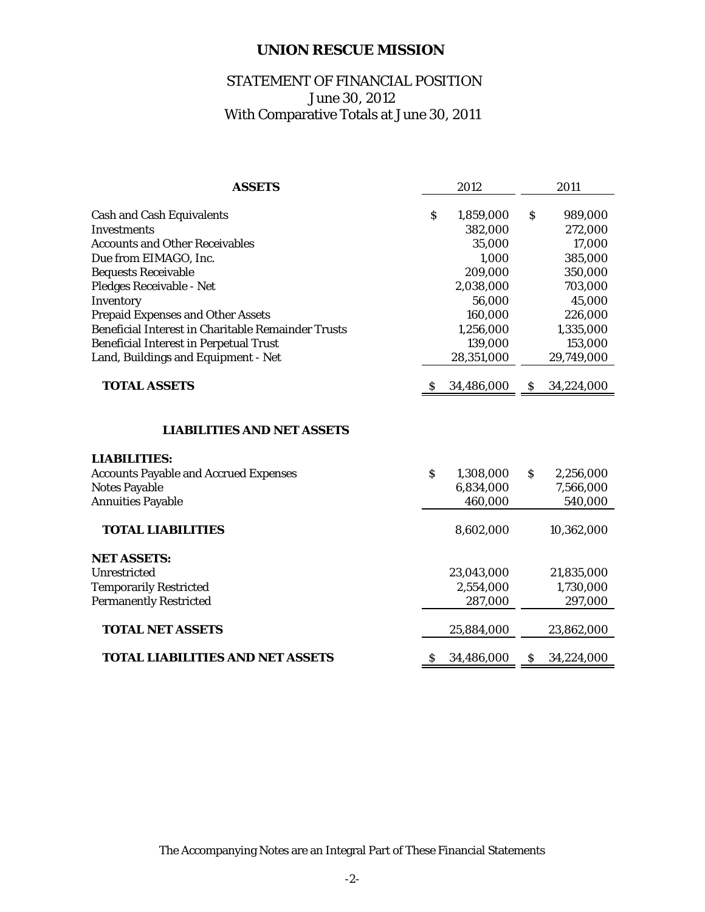## STATEMENT OF FINANCIAL POSITION June 30, 2012 With Comparative Totals at June 30, 2011

| <b>ASSETS</b>                                             |             | 2012       |    | 2011       |
|-----------------------------------------------------------|-------------|------------|----|------------|
|                                                           |             |            |    |            |
| <b>Cash and Cash Equivalents</b>                          | $\mathbf S$ | 1,859,000  | \$ | 989,000    |
| <b>Investments</b>                                        |             | 382,000    |    | 272,000    |
| <b>Accounts and Other Receivables</b>                     |             | 35,000     |    | 17,000     |
| Due from EIMAGO, Inc.                                     |             | 1,000      |    | 385,000    |
| <b>Bequests Receivable</b>                                |             | 209,000    |    | 350,000    |
| Pledges Receivable - Net                                  |             | 2,038,000  |    | 703,000    |
| Inventory                                                 |             | 56,000     |    | 45,000     |
| <b>Prepaid Expenses and Other Assets</b>                  |             | 160,000    |    | 226,000    |
| <b>Beneficial Interest in Charitable Remainder Trusts</b> |             | 1,256,000  |    | 1,335,000  |
| <b>Beneficial Interest in Perpetual Trust</b>             |             | 139,000    |    | 153,000    |
| Land, Buildings and Equipment - Net                       |             | 28,351,000 |    | 29,749,000 |
|                                                           |             |            |    |            |
| <b>TOTAL ASSETS</b>                                       | S           | 34,486,000 | S  | 34,224,000 |
| <b>LIABILITIES AND NET ASSETS</b>                         |             |            |    |            |
| <b>LIABILITIES:</b>                                       |             |            |    |            |
| <b>Accounts Payable and Accrued Expenses</b>              | \$          | 1,308,000  | \$ | 2,256,000  |
| <b>Notes Payable</b>                                      |             | 6,834,000  |    | 7,566,000  |
| <b>Annuities Payable</b>                                  |             | 460,000    |    | 540,000    |
| <b>TOTAL LIABILITIES</b>                                  |             | 8,602,000  |    | 10,362,000 |
| <b>NET ASSETS:</b>                                        |             |            |    |            |
| Unrestricted                                              |             | 23,043,000 |    | 21,835,000 |
| <b>Temporarily Restricted</b>                             |             | 2,554,000  |    | 1,730,000  |
| <b>Permanently Restricted</b>                             |             | 287,000    |    | 297,000    |
| <b>TOTAL NET ASSETS</b>                                   |             | 25,884,000 |    | 23,862,000 |
| <b>TOTAL LIABILITIES AND NET ASSETS</b>                   | \$          | 34,486,000 | \$ | 34,224,000 |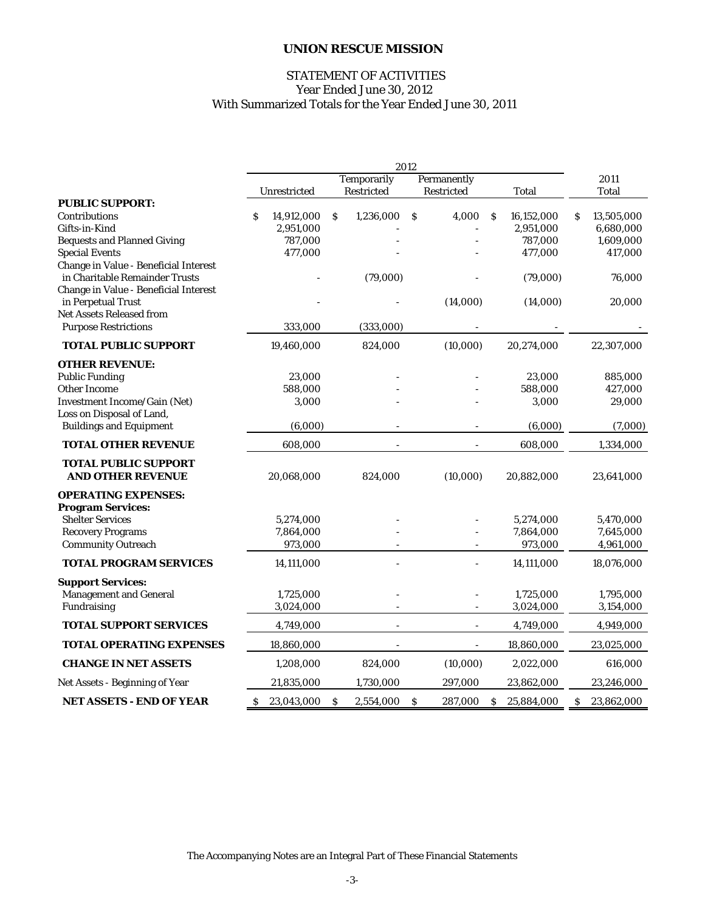## STATEMENT OF ACTIVITIES Year Ended June 30, 2012 With Summarized Totals for the Year Ended June 30, 2011

|                                                         |                 |    | 2012        |               |    |            |    |              |
|---------------------------------------------------------|-----------------|----|-------------|---------------|----|------------|----|--------------|
|                                                         |                 |    | Temporarily | Permanently   |    |            |    | 2011         |
| <b>PUBLIC SUPPORT:</b>                                  | Unrestricted    |    | Restricted  | Restricted    |    | Total      |    | <b>Total</b> |
| Contributions                                           | 14,912,000<br>S | \$ | 1,236,000   | \$<br>4,000   | S  | 16,152,000 | S  | 13,505,000   |
| Gifts-in-Kind                                           | 2,951,000       |    |             |               |    | 2,951,000  |    | 6,680,000    |
| <b>Bequests and Planned Giving</b>                      | 787,000         |    |             |               |    | 787,000    |    | 1,609,000    |
| <b>Special Events</b>                                   | 477,000         |    |             |               |    | 477,000    |    | 417,000      |
| Change in Value - Beneficial Interest                   |                 |    |             |               |    |            |    |              |
| in Charitable Remainder Trusts                          |                 |    | (79,000)    |               |    | (79,000)   |    | 76,000       |
| Change in Value - Beneficial Interest                   |                 |    |             |               |    |            |    |              |
| in Perpetual Trust                                      |                 |    |             | (14,000)      |    | (14,000)   |    | 20,000       |
| <b>Net Assets Released from</b>                         |                 |    |             |               |    |            |    |              |
| <b>Purpose Restrictions</b>                             | 333,000         |    | (333,000)   |               |    |            |    |              |
| <b>TOTAL PUBLIC SUPPORT</b>                             | 19,460,000      |    | 824,000     | (10,000)      |    | 20,274,000 |    | 22,307,000   |
| <b>OTHER REVENUE:</b>                                   |                 |    |             |               |    |            |    |              |
| <b>Public Funding</b>                                   | 23,000          |    |             |               |    | 23,000     |    | 885,000      |
| <b>Other Income</b>                                     | 588,000         |    |             |               |    | 588,000    |    | 427,000      |
| Investment Income/Gain (Net)                            | 3,000           |    |             |               |    | 3,000      |    | 29,000       |
| Loss on Disposal of Land,                               |                 |    |             |               |    | (6,000)    |    |              |
| <b>Buildings and Equipment</b>                          | (6,000)         |    |             |               |    |            |    | (7,000)      |
| <b>TOTAL OTHER REVENUE</b>                              | 608,000         |    |             |               |    | 608,000    |    | 1,334,000    |
| <b>TOTAL PUBLIC SUPPORT</b><br><b>AND OTHER REVENUE</b> | 20,068,000      |    | 824,000     | (10,000)      |    | 20,882,000 |    | 23,641,000   |
| <b>OPERATING EXPENSES:</b>                              |                 |    |             |               |    |            |    |              |
| <b>Program Services:</b>                                |                 |    |             |               |    |            |    |              |
| <b>Shelter Services</b>                                 | 5,274,000       |    |             |               |    | 5,274,000  |    | 5,470,000    |
| <b>Recovery Programs</b>                                | 7,864,000       |    |             |               |    | 7,864,000  |    | 7,645,000    |
| <b>Community Outreach</b>                               | 973,000         |    |             |               |    | 973,000    |    | 4,961,000    |
| <b>TOTAL PROGRAM SERVICES</b>                           | 14,111,000      |    |             |               |    | 14,111,000 |    | 18,076,000   |
| <b>Support Services:</b>                                |                 |    |             |               |    |            |    |              |
| <b>Management and General</b>                           | 1,725,000       |    |             |               |    | 1,725,000  |    | 1,795,000    |
| Fundraising                                             | 3,024,000       |    |             |               |    | 3,024,000  |    | 3,154,000    |
| <b>TOTAL SUPPORT SERVICES</b>                           | 4,749,000       |    |             |               |    | 4,749,000  |    | 4,949,000    |
| <b>TOTAL OPERATING EXPENSES</b>                         | 18,860,000      |    |             |               |    | 18,860,000 |    | 23,025,000   |
| <b>CHANGE IN NET ASSETS</b>                             | 1,208,000       |    | 824,000     | (10,000)      |    | 2,022,000  |    | 616,000      |
| Net Assets - Beginning of Year                          | 21,835,000      |    | 1,730,000   | 297,000       |    | 23,862,000 |    | 23,246,000   |
| NET ASSETS - END OF YEAR                                | S<br>23,043,000 | S  | 2,554,000   | \$<br>287,000 | S. | 25,884,000 | S. | 23,862,000   |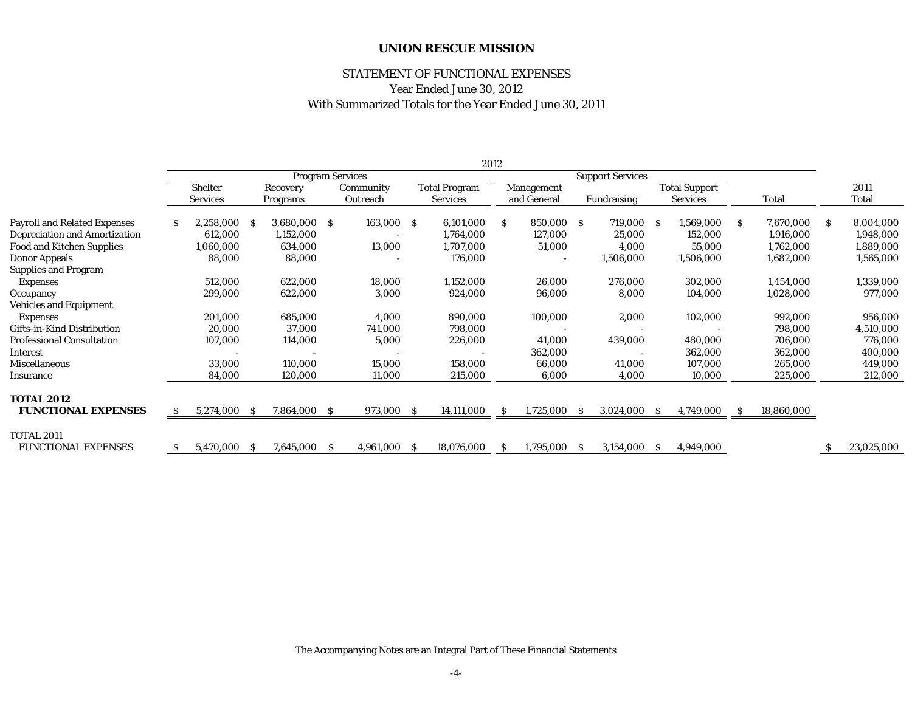#### STATEMENT OF FUNCTIONAL EXPENSES Year Ended June 30, 2012 With Summarized Totals for the Year Ended June 30, 2011

|                                      |    |                 |     |              |   |                         | 2012            |   |             |                         |          |                      |    |            |    |              |
|--------------------------------------|----|-----------------|-----|--------------|---|-------------------------|-----------------|---|-------------|-------------------------|----------|----------------------|----|------------|----|--------------|
|                                      |    |                 |     |              |   | <b>Program Services</b> |                 |   |             | <b>Support Services</b> |          |                      |    |            |    |              |
|                                      |    | <b>Shelter</b>  |     | Recovery     |   | Community               | Total Program   |   | Management  |                         |          | <b>Total Support</b> |    |            |    | 2011         |
|                                      |    | <b>Services</b> |     | Programs     |   | Outreach                | <b>Services</b> |   | and General | <b>Fundraising</b>      |          | Services             |    | Total      |    | <b>Total</b> |
| <b>Payroll and Related Expenses</b>  |    | 2,258,000       | -S  | 3,680,000 \$ |   | 163,000 \$              | 6,101,000       | S | 850,000 \$  | 719,000 S               |          | 1,569,000            | S. | 7,670,000  | -S | 8,004,000    |
| <b>Depreciation and Amortization</b> |    | 612.000         |     | 1,152,000    |   |                         | 1,764,000       |   | 127,000     | 25,000                  |          | 152,000              |    | 1,916,000  |    | 1,948,000    |
| <b>Food and Kitchen Supplies</b>     |    | 1,060,000       |     | 634,000      |   | 13,000                  | 1,707,000       |   | 51,000      | 4,000                   |          | 55,000               |    | 1,762,000  |    | 1,889,000    |
| <b>Donor Appeals</b>                 |    | 88,000          |     | 88,000       |   |                         | 176,000         |   |             | 1,506,000               |          | 1,506,000            |    | 1,682,000  |    | 1,565,000    |
| <b>Supplies and Program</b>          |    |                 |     |              |   |                         |                 |   |             |                         |          |                      |    |            |    |              |
| <b>Expenses</b>                      |    | 512,000         |     | 622,000      |   | 18,000                  | 1,152,000       |   | 26,000      | 276,000                 |          | 302,000              |    | 1,454,000  |    | 1,339,000    |
| Occupancy                            |    | 299,000         |     | 622,000      |   | 3,000                   | 924,000         |   | 96,000      | 8,000                   |          | 104,000              |    | 1,028,000  |    | 977,000      |
| Vehicles and Equipment               |    |                 |     |              |   |                         |                 |   |             |                         |          |                      |    |            |    |              |
| <b>Expenses</b>                      |    | 201,000         |     | 685,000      |   | 4,000                   | 890,000         |   | 100,000     | 2,000                   |          | 102,000              |    | 992,000    |    | 956,000      |
| Gifts-in-Kind Distribution           |    | 20,000          |     | 37,000       |   | 741,000                 | 798,000         |   |             |                         |          |                      |    | 798,000    |    | 4,510,000    |
| <b>Professional Consultation</b>     |    | 107,000         |     | 114,000      |   | 5,000                   | 226,000         |   | 41,000      | 439,000                 |          | 480,000              |    | 706,000    |    | 776,000      |
| <b>Interest</b>                      |    |                 |     |              |   |                         |                 |   | 362,000     |                         |          | 362,000              |    | 362,000    |    | 400,000      |
| <b>Miscellaneous</b>                 |    | 33,000          |     | 110,000      |   | 15,000                  | 158,000         |   | 66,000      | 41,000                  |          | 107,000              |    | 265,000    |    | 449,000      |
| Insurance                            |    | 84,000          |     | 120,000      |   | 11,000                  | 215,000         |   | 6,000       | 4,000                   |          | 10,000               |    | 225,000    |    | 212,000      |
| <b>TOTAL 2012</b>                    |    |                 |     |              |   |                         |                 |   |             |                         |          |                      |    |            |    |              |
| <b>FUNCTIONAL EXPENSES</b>           | S. | 5,274,000       | - S | 7,864,000 \$ |   | 973,000 \$              | 14,111,000      | S | 1,725,000   | 3,024,000               | - S      | 4,749,000            | S. | 18,860,000 |    |              |
| <b>TOTAL 2011</b>                    |    |                 |     |              |   |                         |                 |   |             |                         |          |                      |    |            |    |              |
| <b>FUNCTIONAL EXPENSES</b>           |    | 5,470,000       | -S  | 7,645,000    | S | 4,961,000               | 18,076,000      | S | 1,795,000   | 3,154,000               | <b>S</b> | 4,949,000            |    |            | -S | 23,025,000   |

The Accompanying Notes are an Integral Part of These Financial Statements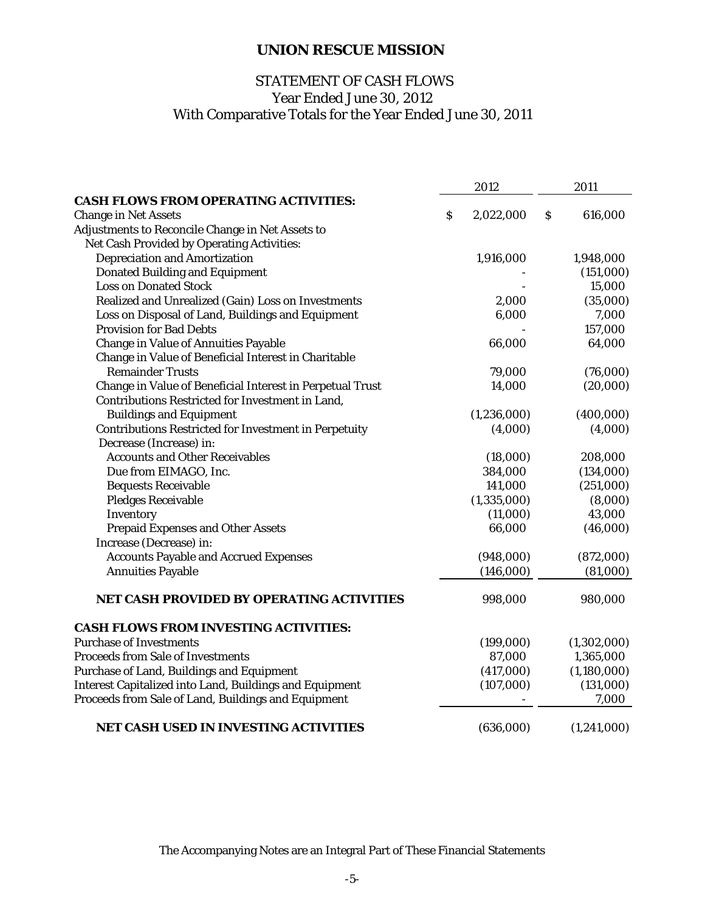## With Comparative Totals for the Year Ended June 30, 2011 STATEMENT OF CASH FLOWS Year Ended June 30, 2012

|                                                                | 2012            | 2011          |
|----------------------------------------------------------------|-----------------|---------------|
| <b>CASH FLOWS FROM OPERATING ACTIVITIES:</b>                   |                 |               |
| <b>Change in Net Assets</b>                                    | \$<br>2,022,000 | \$<br>616,000 |
| Adjustments to Reconcile Change in Net Assets to               |                 |               |
| Net Cash Provided by Operating Activities:                     |                 |               |
| <b>Depreciation and Amortization</b>                           | 1,916,000       | 1,948,000     |
| <b>Donated Building and Equipment</b>                          |                 | (151,000)     |
| <b>Loss on Donated Stock</b>                                   |                 | 15,000        |
| Realized and Unrealized (Gain) Loss on Investments             | 2,000           | (35,000)      |
| Loss on Disposal of Land, Buildings and Equipment              | 6,000           | 7,000         |
| <b>Provision for Bad Debts</b>                                 |                 | 157,000       |
| <b>Change in Value of Annuities Payable</b>                    | 66,000          | 64,000        |
| Change in Value of Beneficial Interest in Charitable           |                 |               |
| <b>Remainder Trusts</b>                                        | 79,000          | (76,000)      |
| Change in Value of Beneficial Interest in Perpetual Trust      | 14,000          | (20,000)      |
| Contributions Restricted for Investment in Land,               |                 |               |
| <b>Buildings and Equipment</b>                                 | (1,236,000)     | (400,000)     |
| <b>Contributions Restricted for Investment in Perpetuity</b>   | (4,000)         | (4,000)       |
| Decrease (Increase) in:                                        |                 |               |
| <b>Accounts and Other Receivables</b>                          | (18,000)        | 208,000       |
| Due from EIMAGO, Inc.                                          | 384,000         | (134,000)     |
| <b>Bequests Receivable</b>                                     | 141,000         | (251,000)     |
| <b>Pledges Receivable</b>                                      | (1,335,000)     | (8,000)       |
| Inventory                                                      | (11,000)        | 43,000        |
| <b>Prepaid Expenses and Other Assets</b>                       | 66,000          | (46,000)      |
| Increase (Decrease) in:                                        |                 |               |
| <b>Accounts Payable and Accrued Expenses</b>                   | (948,000)       | (872,000)     |
| <b>Annuities Payable</b>                                       | (146,000)       | (81,000)      |
| <b>NET CASH PROVIDED BY OPERATING ACTIVITIES</b>               | 998,000         | 980,000       |
| <b>CASH FLOWS FROM INVESTING ACTIVITIES:</b>                   |                 |               |
| <b>Purchase of Investments</b>                                 | (199,000)       | (1,302,000)   |
| <b>Proceeds from Sale of Investments</b>                       | 87,000          | 1,365,000     |
| Purchase of Land, Buildings and Equipment                      | (417,000)       | (1,180,000)   |
| <b>Interest Capitalized into Land, Buildings and Equipment</b> | (107,000)       | (131,000)     |
| Proceeds from Sale of Land, Buildings and Equipment            |                 | 7,000         |
| <b>NET CASH USED IN INVESTING ACTIVITIES</b>                   | (636,000)       | (1, 241, 000) |

The Accompanying Notes are an Integral Part of These Financial Statements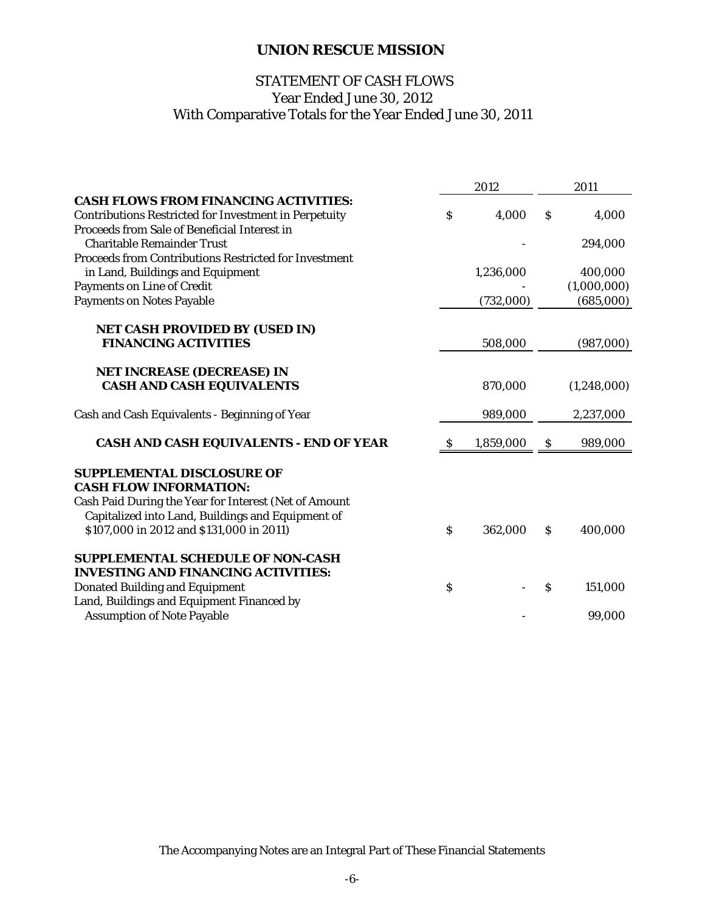## With Comparative Totals for the Year Ended June 30, 2011 STATEMENT OF CASH FLOWS Year Ended June 30, 2012

| <b>CASH FLOWS FROM FINANCING ACTIVITIES:</b><br><b>Contributions Restricted for Investment in Perpetuity</b><br>$\boldsymbol{\mathsf{S}}$<br>4,000<br>4,000<br>S<br>Proceeds from Sale of Beneficial Interest in<br><b>Charitable Remainder Trust</b><br>294,000<br><b>Proceeds from Contributions Restricted for Investment</b><br>in Land, Buildings and Equipment<br>1,236,000<br>400,000<br>(1,000,000)<br><b>Payments on Line of Credit</b><br><b>Payments on Notes Payable</b><br>(732,000)<br>(685,000)<br><b>NET CASH PROVIDED BY (USED IN)</b><br><b>FINANCING ACTIVITIES</b><br>508,000<br>(987,000)<br><b>NET INCREASE (DECREASE) IN</b><br><b>CASH AND CASH EQUIVALENTS</b><br>870,000<br>(1,248,000)<br>Cash and Cash Equivalents - Beginning of Year<br>989,000<br>2,237,000<br><b>CASH AND CASH EQUIVALENTS - END OF YEAR</b><br>1,859,000<br>989,000<br>S<br>S<br><b>SUPPLEMENTAL DISCLOSURE OF</b><br><b>CASH FLOW INFORMATION:</b><br>Cash Paid During the Year for Interest (Net of Amount<br>Capitalized into Land, Buildings and Equipment of<br>\$107,000 in 2012 and \$131,000 in 2011)<br>$\mathbf S$<br>362,000<br><sub>S</sub><br>400,000<br><b>SUPPLEMENTAL SCHEDULE OF NON-CASH</b><br><b>INVESTING AND FINANCING ACTIVITIES:</b><br>\$<br><b>Donated Building and Equipment</b><br>\$<br>151,000<br>Land, Buildings and Equipment Financed by<br><b>Assumption of Note Payable</b><br>99,000 |  | 2012 | 2011 |
|---------------------------------------------------------------------------------------------------------------------------------------------------------------------------------------------------------------------------------------------------------------------------------------------------------------------------------------------------------------------------------------------------------------------------------------------------------------------------------------------------------------------------------------------------------------------------------------------------------------------------------------------------------------------------------------------------------------------------------------------------------------------------------------------------------------------------------------------------------------------------------------------------------------------------------------------------------------------------------------------------------------------------------------------------------------------------------------------------------------------------------------------------------------------------------------------------------------------------------------------------------------------------------------------------------------------------------------------------------------------------------------------------------------------------|--|------|------|
|                                                                                                                                                                                                                                                                                                                                                                                                                                                                                                                                                                                                                                                                                                                                                                                                                                                                                                                                                                                                                                                                                                                                                                                                                                                                                                                                                                                                                           |  |      |      |
|                                                                                                                                                                                                                                                                                                                                                                                                                                                                                                                                                                                                                                                                                                                                                                                                                                                                                                                                                                                                                                                                                                                                                                                                                                                                                                                                                                                                                           |  |      |      |
|                                                                                                                                                                                                                                                                                                                                                                                                                                                                                                                                                                                                                                                                                                                                                                                                                                                                                                                                                                                                                                                                                                                                                                                                                                                                                                                                                                                                                           |  |      |      |
|                                                                                                                                                                                                                                                                                                                                                                                                                                                                                                                                                                                                                                                                                                                                                                                                                                                                                                                                                                                                                                                                                                                                                                                                                                                                                                                                                                                                                           |  |      |      |
|                                                                                                                                                                                                                                                                                                                                                                                                                                                                                                                                                                                                                                                                                                                                                                                                                                                                                                                                                                                                                                                                                                                                                                                                                                                                                                                                                                                                                           |  |      |      |
|                                                                                                                                                                                                                                                                                                                                                                                                                                                                                                                                                                                                                                                                                                                                                                                                                                                                                                                                                                                                                                                                                                                                                                                                                                                                                                                                                                                                                           |  |      |      |
|                                                                                                                                                                                                                                                                                                                                                                                                                                                                                                                                                                                                                                                                                                                                                                                                                                                                                                                                                                                                                                                                                                                                                                                                                                                                                                                                                                                                                           |  |      |      |
|                                                                                                                                                                                                                                                                                                                                                                                                                                                                                                                                                                                                                                                                                                                                                                                                                                                                                                                                                                                                                                                                                                                                                                                                                                                                                                                                                                                                                           |  |      |      |
|                                                                                                                                                                                                                                                                                                                                                                                                                                                                                                                                                                                                                                                                                                                                                                                                                                                                                                                                                                                                                                                                                                                                                                                                                                                                                                                                                                                                                           |  |      |      |
|                                                                                                                                                                                                                                                                                                                                                                                                                                                                                                                                                                                                                                                                                                                                                                                                                                                                                                                                                                                                                                                                                                                                                                                                                                                                                                                                                                                                                           |  |      |      |
|                                                                                                                                                                                                                                                                                                                                                                                                                                                                                                                                                                                                                                                                                                                                                                                                                                                                                                                                                                                                                                                                                                                                                                                                                                                                                                                                                                                                                           |  |      |      |
|                                                                                                                                                                                                                                                                                                                                                                                                                                                                                                                                                                                                                                                                                                                                                                                                                                                                                                                                                                                                                                                                                                                                                                                                                                                                                                                                                                                                                           |  |      |      |
|                                                                                                                                                                                                                                                                                                                                                                                                                                                                                                                                                                                                                                                                                                                                                                                                                                                                                                                                                                                                                                                                                                                                                                                                                                                                                                                                                                                                                           |  |      |      |
|                                                                                                                                                                                                                                                                                                                                                                                                                                                                                                                                                                                                                                                                                                                                                                                                                                                                                                                                                                                                                                                                                                                                                                                                                                                                                                                                                                                                                           |  |      |      |
|                                                                                                                                                                                                                                                                                                                                                                                                                                                                                                                                                                                                                                                                                                                                                                                                                                                                                                                                                                                                                                                                                                                                                                                                                                                                                                                                                                                                                           |  |      |      |
|                                                                                                                                                                                                                                                                                                                                                                                                                                                                                                                                                                                                                                                                                                                                                                                                                                                                                                                                                                                                                                                                                                                                                                                                                                                                                                                                                                                                                           |  |      |      |
|                                                                                                                                                                                                                                                                                                                                                                                                                                                                                                                                                                                                                                                                                                                                                                                                                                                                                                                                                                                                                                                                                                                                                                                                                                                                                                                                                                                                                           |  |      |      |
|                                                                                                                                                                                                                                                                                                                                                                                                                                                                                                                                                                                                                                                                                                                                                                                                                                                                                                                                                                                                                                                                                                                                                                                                                                                                                                                                                                                                                           |  |      |      |
|                                                                                                                                                                                                                                                                                                                                                                                                                                                                                                                                                                                                                                                                                                                                                                                                                                                                                                                                                                                                                                                                                                                                                                                                                                                                                                                                                                                                                           |  |      |      |
|                                                                                                                                                                                                                                                                                                                                                                                                                                                                                                                                                                                                                                                                                                                                                                                                                                                                                                                                                                                                                                                                                                                                                                                                                                                                                                                                                                                                                           |  |      |      |
|                                                                                                                                                                                                                                                                                                                                                                                                                                                                                                                                                                                                                                                                                                                                                                                                                                                                                                                                                                                                                                                                                                                                                                                                                                                                                                                                                                                                                           |  |      |      |
|                                                                                                                                                                                                                                                                                                                                                                                                                                                                                                                                                                                                                                                                                                                                                                                                                                                                                                                                                                                                                                                                                                                                                                                                                                                                                                                                                                                                                           |  |      |      |
|                                                                                                                                                                                                                                                                                                                                                                                                                                                                                                                                                                                                                                                                                                                                                                                                                                                                                                                                                                                                                                                                                                                                                                                                                                                                                                                                                                                                                           |  |      |      |
|                                                                                                                                                                                                                                                                                                                                                                                                                                                                                                                                                                                                                                                                                                                                                                                                                                                                                                                                                                                                                                                                                                                                                                                                                                                                                                                                                                                                                           |  |      |      |
|                                                                                                                                                                                                                                                                                                                                                                                                                                                                                                                                                                                                                                                                                                                                                                                                                                                                                                                                                                                                                                                                                                                                                                                                                                                                                                                                                                                                                           |  |      |      |

The Accompanying Notes are an Integral Part of These Financial Statements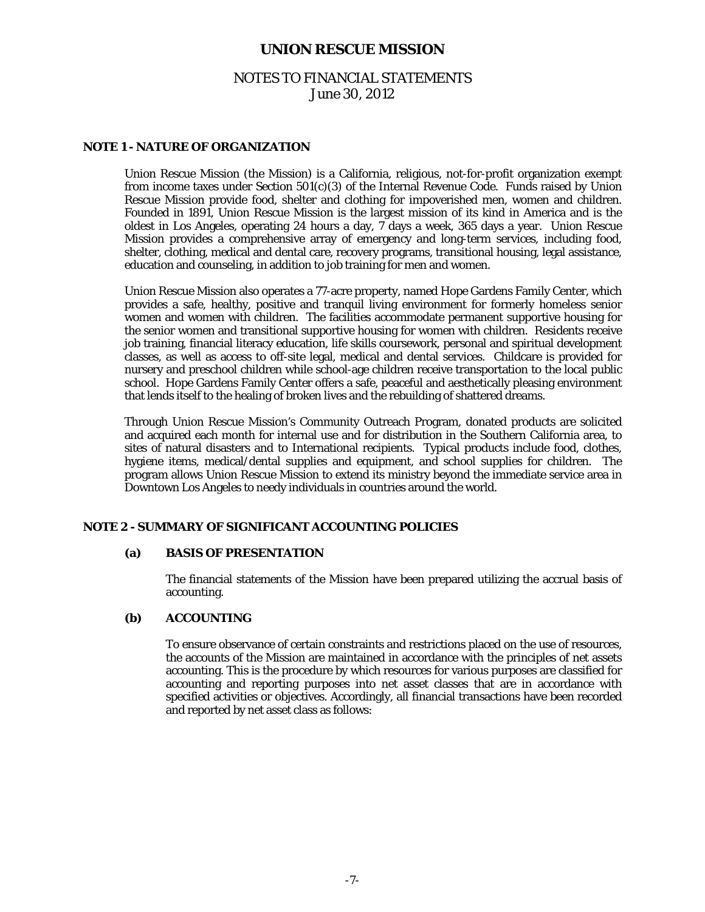## NOTES TO FINANCIAL STATEMENTS June 30, 2012

#### **NOTE 1 - NATURE OF ORGANIZATION**

Union Rescue Mission (the Mission) is a California, religious, not-for-profit organization exempt from income taxes under Section  $501(c)(3)$  of the Internal Revenue Code. Funds raised by Union Rescue Mission provide food, shelter and clothing for impoverished men, women and children. Founded in 1891, Union Rescue Mission is the largest mission of its kind in America and is the oldest in Los Angeles, operating 24 hours a day, 7 days a week, 365 days a year. Union Rescue Mission provides a comprehensive array of emergency and long-term services, including food, shelter, clothing, medical and dental care, recovery programs, transitional housing, legal assistance, education and counseling, in addition to job training for men and women.

Union Rescue Mission also operates a 77-acre property, named Hope Gardens Family Center, which provides a safe, healthy, positive and tranquil living environment for formerly homeless senior women and women with children. The facilities accommodate permanent supportive housing for the senior women and transitional supportive housing for women with children. Residents receive job training, financial literacy education, life skills coursework, personal and spiritual development classes, as well as access to off-site legal, medical and dental services. Childcare is provided for nursery and preschool children while school-age children receive transportation to the local public school. Hope Gardens Family Center offers a safe, peaceful and aesthetically pleasing environment that lends itself to the healing of broken lives and the rebuilding of shattered dreams.

Through Union Rescue Mission's Community Outreach Program, donated products are solicited and acquired each month for internal use and for distribution in the Southern California area, to sites of natural disasters and to International recipients. Typical products include food, clothes, hygiene items, medical/dental supplies and equipment, and school supplies for children. The program allows Union Rescue Mission to extend its ministry beyond the immediate service area in Downtown Los Angeles to needy individuals in countries around the world.

#### **NOTE 2 - SUMMARY OF SIGNIFICANT ACCOUNTING POLICIES**

#### **(a) BASIS OF PRESENTATION**

The financial statements of the Mission have been prepared utilizing the accrual basis of accounting.

#### **(b) ACCOUNTING**

To ensure observance of certain constraints and restrictions placed on the use of resources, the accounts of the Mission are maintained in accordance with the principles of net assets accounting. This is the procedure by which resources for various purposes are classified for accounting and reporting purposes into net asset classes that are in accordance with specified activities or objectives. Accordingly, all financial transactions have been recorded and reported by net asset class as follows: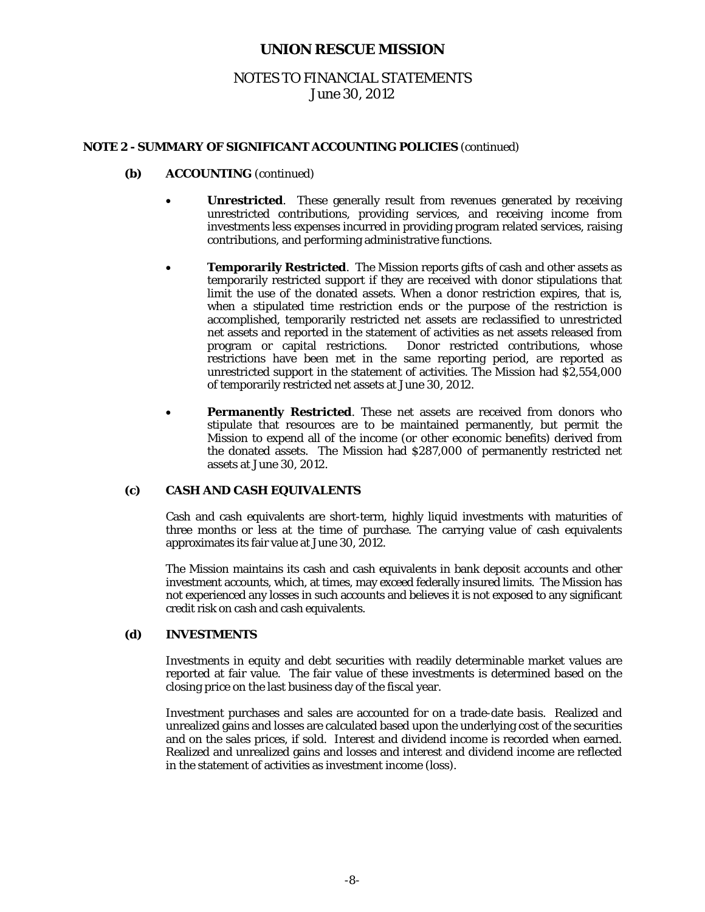## NOTES TO FINANCIAL STATEMENTS June 30, 2012

#### **NOTE 2 - SUMMARY OF SIGNIFICANT ACCOUNTING POLICIES** (continued)

- **(b) ACCOUNTING** (continued)
	- **Unrestricted**. These generally result from revenues generated by receiving unrestricted contributions, providing services, and receiving income from investments less expenses incurred in providing program related services, raising contributions, and performing administrative functions.
	- **Temporarily Restricted**. The Mission reports gifts of cash and other assets as temporarily restricted support if they are received with donor stipulations that limit the use of the donated assets. When a donor restriction expires, that is, when a stipulated time restriction ends or the purpose of the restriction is accomplished, temporarily restricted net assets are reclassified to unrestricted net assets and reported in the statement of activities as net assets released from program or capital restrictions. Donor restricted contributions, whose restrictions have been met in the same reporting period, are reported as unrestricted support in the statement of activities. The Mission had \$2,554,000 of temporarily restricted net assets at June 30, 2012.
	- **Permanently Restricted**. These net assets are received from donors who stipulate that resources are to be maintained permanently, but permit the Mission to expend all of the income (or other economic benefits) derived from the donated assets. The Mission had \$287,000 of permanently restricted net assets at June 30, 2012.

#### **(c) CASH AND CASH EQUIVALENTS**

Cash and cash equivalents are short-term, highly liquid investments with maturities of three months or less at the time of purchase. The carrying value of cash equivalents approximates its fair value at June 30, 2012.

The Mission maintains its cash and cash equivalents in bank deposit accounts and other investment accounts, which, at times, may exceed federally insured limits. The Mission has not experienced any losses in such accounts and believes it is not exposed to any significant credit risk on cash and cash equivalents.

#### **(d) INVESTMENTS**

Investments in equity and debt securities with readily determinable market values are reported at fair value. The fair value of these investments is determined based on the closing price on the last business day of the fiscal year.

Investment purchases and sales are accounted for on a trade-date basis. Realized and unrealized gains and losses are calculated based upon the underlying cost of the securities and on the sales prices, if sold. Interest and dividend income is recorded when earned. Realized and unrealized gains and losses and interest and dividend income are reflected in the statement of activities as investment income (loss).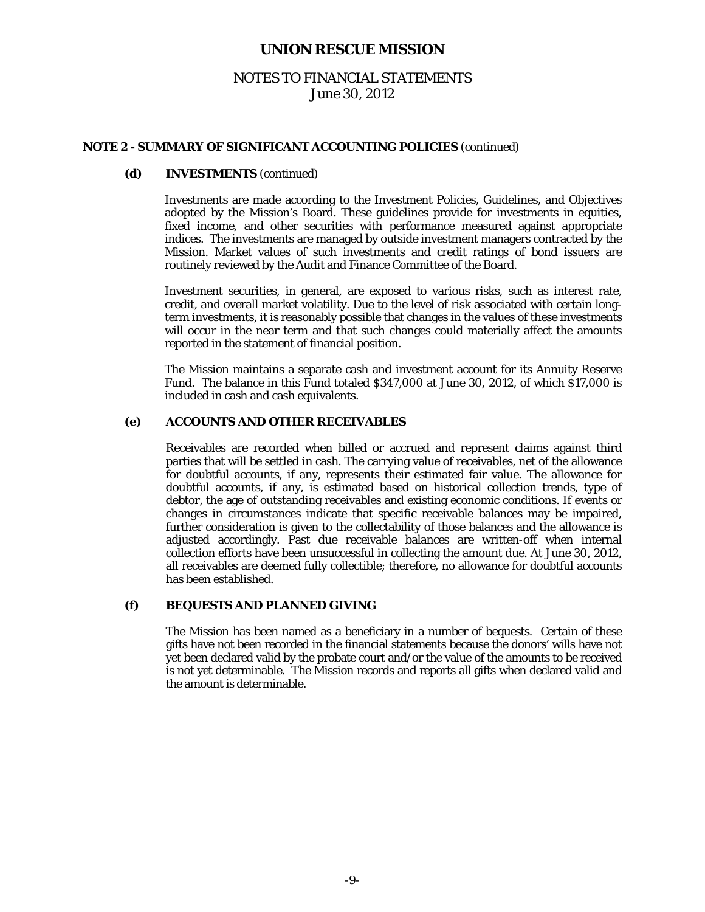## NOTES TO FINANCIAL STATEMENTS June 30, 2012

#### **NOTE 2 - SUMMARY OF SIGNIFICANT ACCOUNTING POLICIES** (continued)

#### **(d) INVESTMENTS** (continued)

Investments are made according to the Investment Policies, Guidelines, and Objectives adopted by the Mission's Board. These guidelines provide for investments in equities, fixed income, and other securities with performance measured against appropriate indices. The investments are managed by outside investment managers contracted by the Mission. Market values of such investments and credit ratings of bond issuers are routinely reviewed by the Audit and Finance Committee of the Board.

Investment securities, in general, are exposed to various risks, such as interest rate, credit, and overall market volatility. Due to the level of risk associated with certain longterm investments, it is reasonably possible that changes in the values of these investments will occur in the near term and that such changes could materially affect the amounts reported in the statement of financial position.

The Mission maintains a separate cash and investment account for its Annuity Reserve Fund. The balance in this Fund totaled \$347,000 at June 30, 2012, of which \$17,000 is included in cash and cash equivalents.

#### **(e) ACCOUNTS AND OTHER RECEIVABLES**

Receivables are recorded when billed or accrued and represent claims against third parties that will be settled in cash. The carrying value of receivables, net of the allowance for doubtful accounts, if any, represents their estimated fair value. The allowance for doubtful accounts, if any, is estimated based on historical collection trends, type of debtor, the age of outstanding receivables and existing economic conditions. If events or changes in circumstances indicate that specific receivable balances may be impaired, further consideration is given to the collectability of those balances and the allowance is adjusted accordingly. Past due receivable balances are written-off when internal collection efforts have been unsuccessful in collecting the amount due. At June 30, 2012, all receivables are deemed fully collectible; therefore, no allowance for doubtful accounts has been established.

#### **(f) BEQUESTS AND PLANNED GIVING**

The Mission has been named as a beneficiary in a number of bequests. Certain of these gifts have not been recorded in the financial statements because the donors' wills have not yet been declared valid by the probate court and/or the value of the amounts to be received is not yet determinable. The Mission records and reports all gifts when declared valid and the amount is determinable.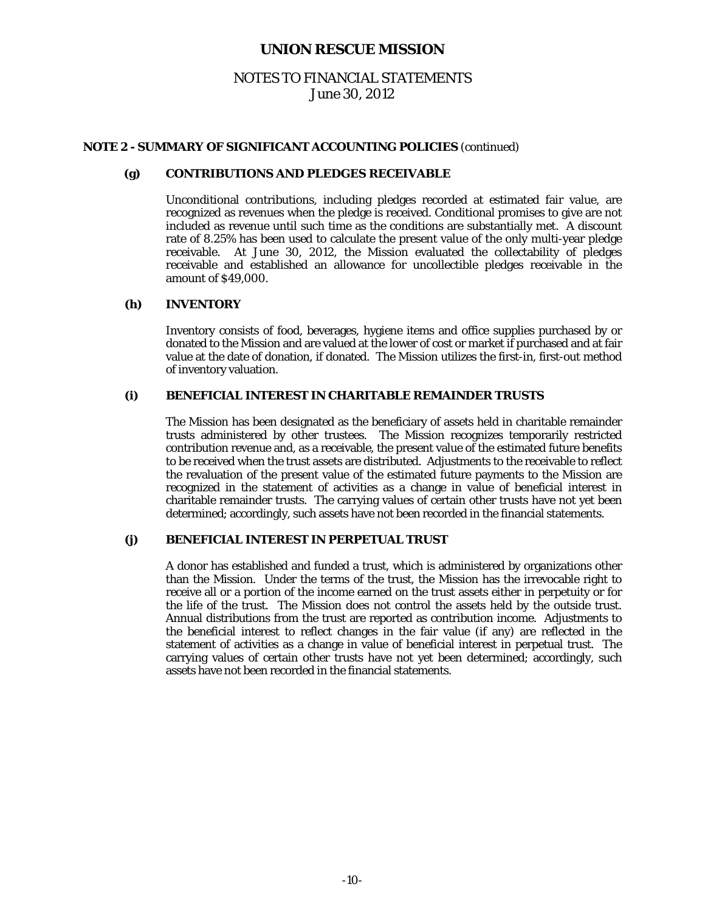## NOTES TO FINANCIAL STATEMENTS June 30, 2012

#### **NOTE 2 - SUMMARY OF SIGNIFICANT ACCOUNTING POLICIES** (continued)

#### **(g) CONTRIBUTIONS AND PLEDGES RECEIVABLE**

Unconditional contributions, including pledges recorded at estimated fair value, are recognized as revenues when the pledge is received. Conditional promises to give are not included as revenue until such time as the conditions are substantially met. A discount rate of 8.25% has been used to calculate the present value of the only multi-year pledge receivable. At June 30, 2012, the Mission evaluated the collectability of pledges receivable and established an allowance for uncollectible pledges receivable in the amount of \$49,000.

#### **(h) INVENTORY**

Inventory consists of food, beverages, hygiene items and office supplies purchased by or donated to the Mission and are valued at the lower of cost or market if purchased and at fair value at the date of donation, if donated. The Mission utilizes the first-in, first-out method of inventory valuation.

#### **(i) BENEFICIAL INTEREST IN CHARITABLE REMAINDER TRUSTS**

The Mission has been designated as the beneficiary of assets held in charitable remainder trusts administered by other trustees. The Mission recognizes temporarily restricted contribution revenue and, as a receivable, the present value of the estimated future benefits to be received when the trust assets are distributed. Adjustments to the receivable to reflect the revaluation of the present value of the estimated future payments to the Mission are recognized in the statement of activities as a change in value of beneficial interest in charitable remainder trusts. The carrying values of certain other trusts have not yet been determined; accordingly, such assets have not been recorded in the financial statements.

#### **(j) BENEFICIAL INTEREST IN PERPETUAL TRUST**

A donor has established and funded a trust, which is administered by organizations other than the Mission. Under the terms of the trust, the Mission has the irrevocable right to receive all or a portion of the income earned on the trust assets either in perpetuity or for the life of the trust. The Mission does not control the assets held by the outside trust. Annual distributions from the trust are reported as contribution income. Adjustments to the beneficial interest to reflect changes in the fair value (if any) are reflected in the statement of activities as a change in value of beneficial interest in perpetual trust. The carrying values of certain other trusts have not yet been determined; accordingly, such assets have not been recorded in the financial statements.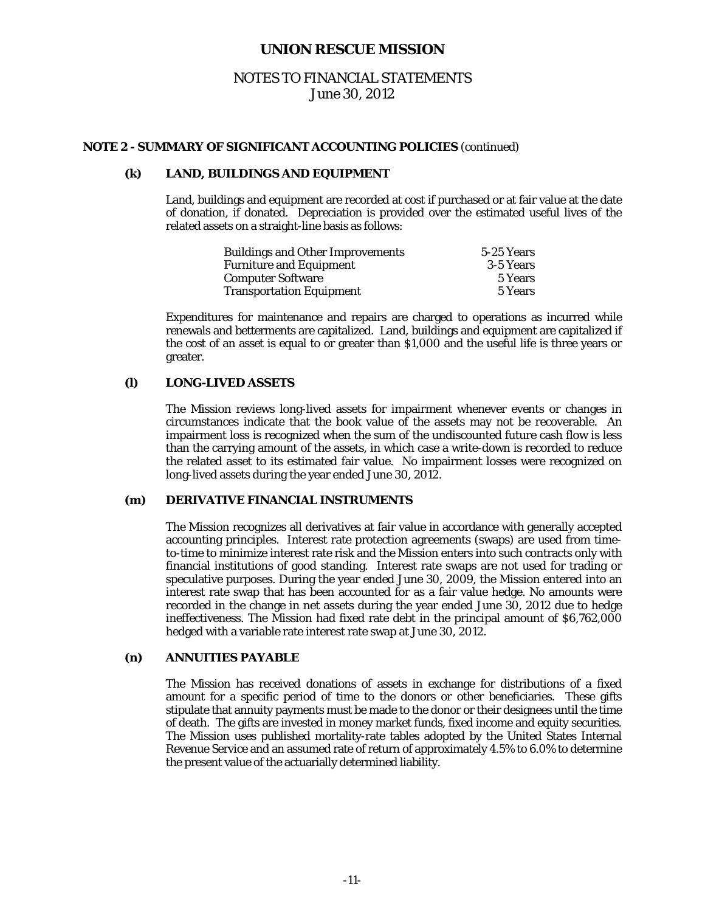## NOTES TO FINANCIAL STATEMENTS June 30, 2012

#### **NOTE 2 - SUMMARY OF SIGNIFICANT ACCOUNTING POLICIES** (continued)

#### **(k) LAND, BUILDINGS AND EQUIPMENT**

Land, buildings and equipment are recorded at cost if purchased or at fair value at the date of donation, if donated. Depreciation is provided over the estimated useful lives of the related assets on a straight-line basis as follows:

| <b>Buildings and Other Improvements</b> | 5-25 Years |
|-----------------------------------------|------------|
| <b>Furniture and Equipment</b>          | 3-5 Years  |
| <b>Computer Software</b>                | 5 Years    |
| Transportation Equipment                | 5 Years    |

Expenditures for maintenance and repairs are charged to operations as incurred while renewals and betterments are capitalized. Land, buildings and equipment are capitalized if the cost of an asset is equal to or greater than \$1,000 and the useful life is three years or greater.

#### **(l) LONG-LIVED ASSETS**

The Mission reviews long-lived assets for impairment whenever events or changes in circumstances indicate that the book value of the assets may not be recoverable. An impairment loss is recognized when the sum of the undiscounted future cash flow is less than the carrying amount of the assets, in which case a write-down is recorded to reduce the related asset to its estimated fair value. No impairment losses were recognized on long-lived assets during the year ended June 30, 2012.

#### **(m) DERIVATIVE FINANCIAL INSTRUMENTS**

The Mission recognizes all derivatives at fair value in accordance with generally accepted accounting principles. Interest rate protection agreements (swaps) are used from timeto-time to minimize interest rate risk and the Mission enters into such contracts only with financial institutions of good standing. Interest rate swaps are not used for trading or speculative purposes. During the year ended June 30, 2009, the Mission entered into an interest rate swap that has been accounted for as a fair value hedge. No amounts were recorded in the change in net assets during the year ended June 30, 2012 due to hedge ineffectiveness. The Mission had fixed rate debt in the principal amount of \$6,762,000 hedged with a variable rate interest rate swap at June 30, 2012.

#### **(n) ANNUITIES PAYABLE**

The Mission has received donations of assets in exchange for distributions of a fixed amount for a specific period of time to the donors or other beneficiaries. These gifts stipulate that annuity payments must be made to the donor or their designees until the time of death. The gifts are invested in money market funds, fixed income and equity securities. The Mission uses published mortality-rate tables adopted by the United States Internal Revenue Service and an assumed rate of return of approximately 4.5% to 6.0% to determine the present value of the actuarially determined liability.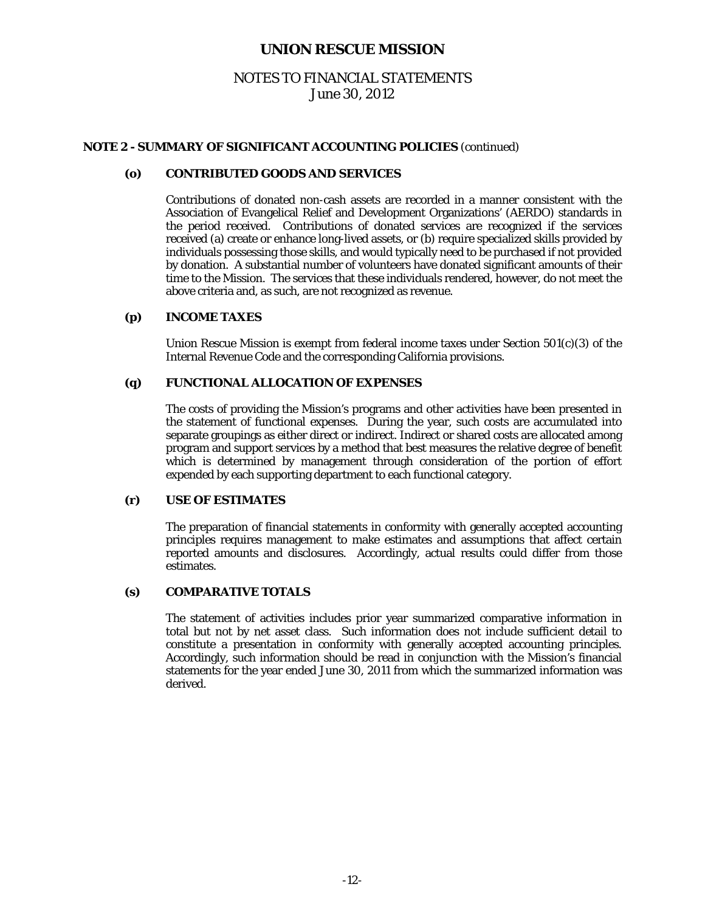## NOTES TO FINANCIAL STATEMENTS June 30, 2012

#### **NOTE 2 - SUMMARY OF SIGNIFICANT ACCOUNTING POLICIES** (continued)

#### **(o) CONTRIBUTED GOODS AND SERVICES**

Contributions of donated non-cash assets are recorded in a manner consistent with the Association of Evangelical Relief and Development Organizations' (AERDO) standards in the period received. Contributions of donated services are recognized if the services received (a) create or enhance long-lived assets, or (b) require specialized skills provided by individuals possessing those skills, and would typically need to be purchased if not provided by donation. A substantial number of volunteers have donated significant amounts of their time to the Mission. The services that these individuals rendered, however, do not meet the above criteria and, as such, are not recognized as revenue.

#### **(p) INCOME TAXES**

Union Rescue Mission is exempt from federal income taxes under Section 501(c)(3) of the Internal Revenue Code and the corresponding California provisions.

#### **(q) FUNCTIONAL ALLOCATION OF EXPENSES**

The costs of providing the Mission's programs and other activities have been presented in the statement of functional expenses. During the year, such costs are accumulated into separate groupings as either direct or indirect. Indirect or shared costs are allocated among program and support services by a method that best measures the relative degree of benefit which is determined by management through consideration of the portion of effort expended by each supporting department to each functional category.

#### **(r) USE OF ESTIMATES**

The preparation of financial statements in conformity with generally accepted accounting principles requires management to make estimates and assumptions that affect certain reported amounts and disclosures. Accordingly, actual results could differ from those estimates.

#### **(s) COMPARATIVE TOTALS**

The statement of activities includes prior year summarized comparative information in total but not by net asset class. Such information does not include sufficient detail to constitute a presentation in conformity with generally accepted accounting principles. Accordingly, such information should be read in conjunction with the Mission's financial statements for the year ended June 30, 2011 from which the summarized information was derived.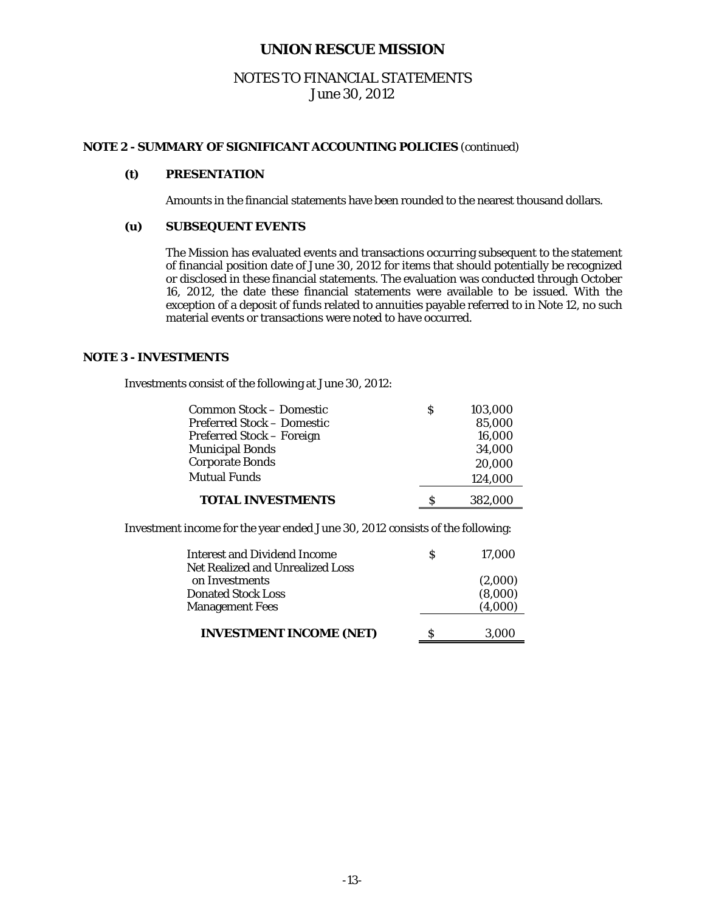## NOTES TO FINANCIAL STATEMENTS June 30, 2012

#### **NOTE 2 - SUMMARY OF SIGNIFICANT ACCOUNTING POLICIES** (continued)

#### **(t) PRESENTATION**

Amounts in the financial statements have been rounded to the nearest thousand dollars.

#### **(u) SUBSEQUENT EVENTS**

The Mission has evaluated events and transactions occurring subsequent to the statement of financial position date of June 30, 2012 for items that should potentially be recognized or disclosed in these financial statements. The evaluation was conducted through October 16, 2012, the date these financial statements were available to be issued. With the exception of a deposit of funds related to annuities payable referred to in Note 12, no such material events or transactions were noted to have occurred.

#### **NOTE 3 - INVESTMENTS**

Investments consist of the following at June 30, 2012:

| Common Stock – Domestic           | S | 103,000 |
|-----------------------------------|---|---------|
| <b>Preferred Stock – Domestic</b> |   | 85,000  |
| Preferred Stock - Foreign         |   | 16,000  |
| <b>Municipal Bonds</b>            |   | 34,000  |
| <b>Corporate Bonds</b>            |   | 20,000  |
| <b>Mutual Funds</b>               |   | 124,000 |
| <b>TOTAL INVESTMENTS</b>          | S | 382,000 |

Investment income for the year ended June 30, 2012 consists of the following:

| <b>Interest and Dividend Income</b><br>Net Realized and Unrealized Loss | S | 17,000  |
|-------------------------------------------------------------------------|---|---------|
| on Investments                                                          |   | (2,000) |
| <b>Donated Stock Loss</b>                                               |   | (8,000) |
| <b>Management Fees</b>                                                  |   | (4,000) |
|                                                                         |   |         |
| <b>INVESTMENT INCOME (NET)</b>                                          | s | 3.000   |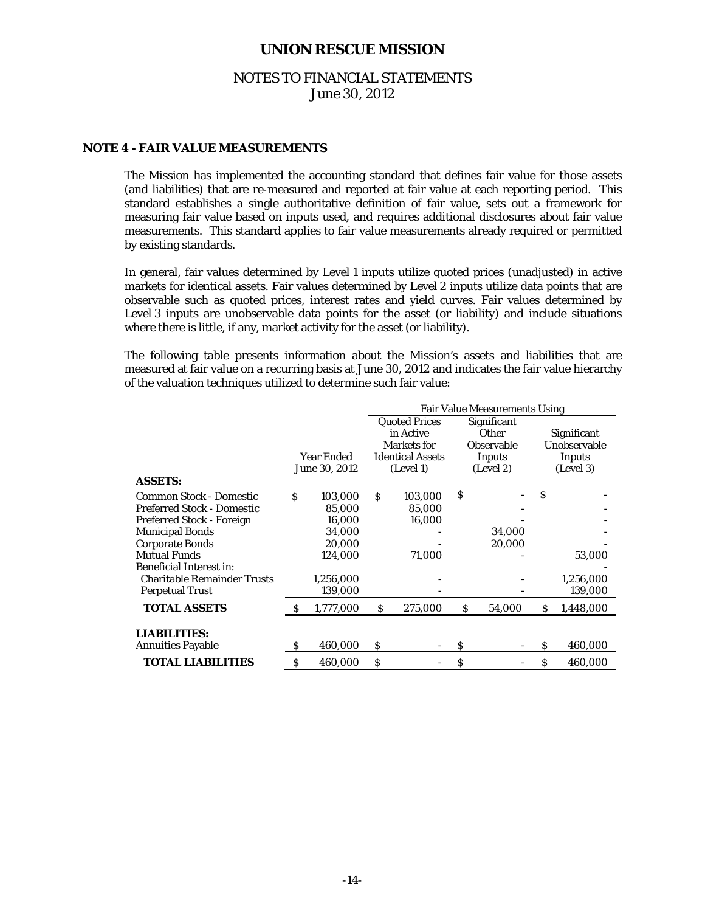## NOTES TO FINANCIAL STATEMENTS June 30, 2012

#### **NOTE 4 - FAIR VALUE MEASUREMENTS**

 The Mission has implemented the accounting standard that defines fair value for those assets (and liabilities) that are re-measured and reported at fair value at each reporting period. This standard establishes a single authoritative definition of fair value, sets out a framework for measuring fair value based on inputs used, and requires additional disclosures about fair value measurements. This standard applies to fair value measurements already required or permitted by existing standards.

 In general, fair values determined by Level 1 inputs utilize quoted prices (unadjusted) in active markets for identical assets. Fair values determined by Level 2 inputs utilize data points that are observable such as quoted prices, interest rates and yield curves. Fair values determined by Level 3 inputs are unobservable data points for the asset (or liability) and include situations where there is little, if any, market activity for the asset (or liability).

 The following table presents information about the Mission's assets and liabilities that are measured at fair value on a recurring basis at June 30, 2012 and indicates the fair value hierarchy of the valuation techniques utilized to determine such fair value:

|                                    |   |               | <b>Fair Value Measurements Using</b> |                         |    |                   |              |                    |  |  |
|------------------------------------|---|---------------|--------------------------------------|-------------------------|----|-------------------|--------------|--------------------|--|--|
|                                    |   |               |                                      | <b>Quoted Prices</b>    |    | Significant       |              |                    |  |  |
|                                    |   |               |                                      | in Active               |    | Other             |              | <b>Significant</b> |  |  |
|                                    |   |               |                                      | <b>Markets for</b>      |    | <b>Observable</b> |              | Unobservable       |  |  |
|                                    |   | Year Ended    |                                      | <b>Identical Assets</b> |    | Inputs            |              | Inputs             |  |  |
|                                    |   | June 30, 2012 |                                      | (Level 1)               |    | (Level 2)         |              | (Level 3)          |  |  |
| <b>ASSETS:</b>                     |   |               |                                      |                         |    |                   |              |                    |  |  |
| <b>Common Stock - Domestic</b>     | Ś | 103,000       | S                                    | 103,000                 | s  |                   | <sup>S</sup> |                    |  |  |
| <b>Preferred Stock - Domestic</b>  |   | 85,000        |                                      | 85,000                  |    |                   |              |                    |  |  |
| <b>Preferred Stock - Foreign</b>   |   | 16,000        |                                      | 16,000                  |    |                   |              |                    |  |  |
| <b>Municipal Bonds</b>             |   | 34,000        |                                      |                         |    | 34,000            |              |                    |  |  |
| <b>Corporate Bonds</b>             |   | 20,000        |                                      |                         |    | 20,000            |              |                    |  |  |
| <b>Mutual Funds</b>                |   | 124,000       |                                      | 71,000                  |    |                   |              | 53,000             |  |  |
| <b>Beneficial Interest in:</b>     |   |               |                                      |                         |    |                   |              |                    |  |  |
| <b>Charitable Remainder Trusts</b> |   | 1,256,000     |                                      |                         |    |                   |              | 1,256,000          |  |  |
| <b>Perpetual Trust</b>             |   | 139,000       |                                      |                         |    |                   |              | 139,000            |  |  |
| <b>TOTAL ASSETS</b>                | S | 1,777,000     | S                                    | 275,000                 | S. | 54,000            | S.           | 1,448,000          |  |  |
|                                    |   |               |                                      |                         |    |                   |              |                    |  |  |
| <b>LIABILITIES:</b>                |   |               |                                      |                         |    |                   |              |                    |  |  |
| <b>Annuities Payable</b>           | S | 460,000       | \$                                   |                         | s  | $\qquad \qquad -$ | Ŝ            | 460,000            |  |  |
| <b>TOTAL LIABILITIES</b>           | Ś | 460,000       | \$                                   |                         | S  |                   | S            | 460.000            |  |  |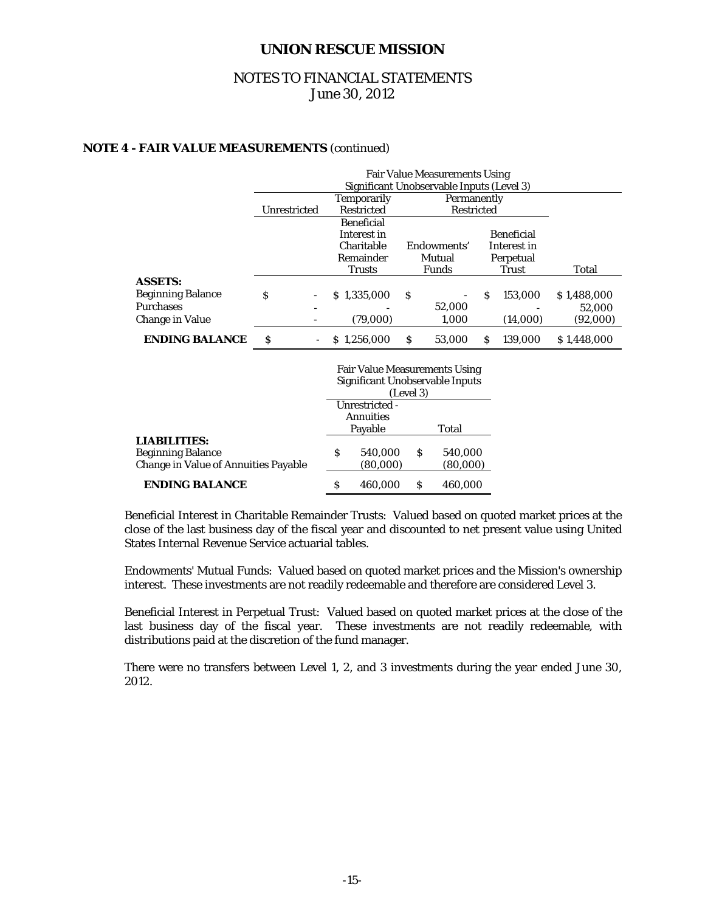## NOTES TO FINANCIAL STATEMENTS June 30, 2012

#### **NOTE 4 - FAIR VALUE MEASUREMENTS** (continued)

|                       |   | <b>Fair Value Measurements Using</b><br>Significant Unobservable Inputs (Level 3) |                    |              |             |   |                   |             |  |  |  |  |
|-----------------------|---|-----------------------------------------------------------------------------------|--------------------|--------------|-------------|---|-------------------|-------------|--|--|--|--|
|                       |   |                                                                                   | <b>Temporarily</b> |              | Permanently |   |                   |             |  |  |  |  |
|                       |   | Unrestricted                                                                      | Restricted         |              | Restricted  |   |                   |             |  |  |  |  |
|                       |   |                                                                                   | <b>Beneficial</b>  |              |             |   |                   |             |  |  |  |  |
|                       |   |                                                                                   | Interest in        |              |             |   | <b>Beneficial</b> |             |  |  |  |  |
|                       |   |                                                                                   | Charitable         |              | Endowments' |   | Interest in       |             |  |  |  |  |
|                       |   |                                                                                   | Remainder          |              | Mutual      |   | Perpetual         |             |  |  |  |  |
|                       |   |                                                                                   | Trusts             |              | Funds       |   | Trust             | Total       |  |  |  |  |
| <b>ASSETS:</b>        |   |                                                                                   |                    |              |             |   |                   |             |  |  |  |  |
| Beginning Balance     | S | ٠                                                                                 | \$1,335,000        | <sup>S</sup> | ۰           | S | 153.000           | \$1,488,000 |  |  |  |  |
| <b>Purchases</b>      |   | ۰                                                                                 |                    |              | 52.000      |   |                   | 52.000      |  |  |  |  |
| Change in Value       |   |                                                                                   | (79,000)           |              | 1.000       |   | (14,000)          | (92,000)    |  |  |  |  |
| <b>ENDING BALANCE</b> | s |                                                                                   | \$1.256,000        | S            | 53,000      | s | 139.000           | \$1.448.000 |  |  |  |  |

|                                                                                                |   | <b>Fair Value Measurements Using</b><br>Significant Unobservable Inputs<br>(Level 3) |   |         |  |  |  |
|------------------------------------------------------------------------------------------------|---|--------------------------------------------------------------------------------------|---|---------|--|--|--|
|                                                                                                |   | Unrestricted -<br><b>Annuities</b><br>Payable<br>Total                               |   |         |  |  |  |
| <b>LIABILITIES:</b><br><b>Beginning Balance</b><br><b>Change in Value of Annuities Payable</b> | S | 540,000<br>540,000<br>S<br>(80,000)<br>(80,000)                                      |   |         |  |  |  |
| <b>ENDING BALANCE</b>                                                                          | S | 460,000                                                                              | S | 460,000 |  |  |  |

 Beneficial Interest in Charitable Remainder Trusts: Valued based on quoted market prices at the close of the last business day of the fiscal year and discounted to net present value using United States Internal Revenue Service actuarial tables.

 Endowments' Mutual Funds: Valued based on quoted market prices and the Mission's ownership interest. These investments are not readily redeemable and therefore are considered Level 3.

 Beneficial Interest in Perpetual Trust: Valued based on quoted market prices at the close of the last business day of the fiscal year. These investments are not readily redeemable, with distributions paid at the discretion of the fund manager.

 There were no transfers between Level 1, 2, and 3 investments during the year ended June 30, 2012.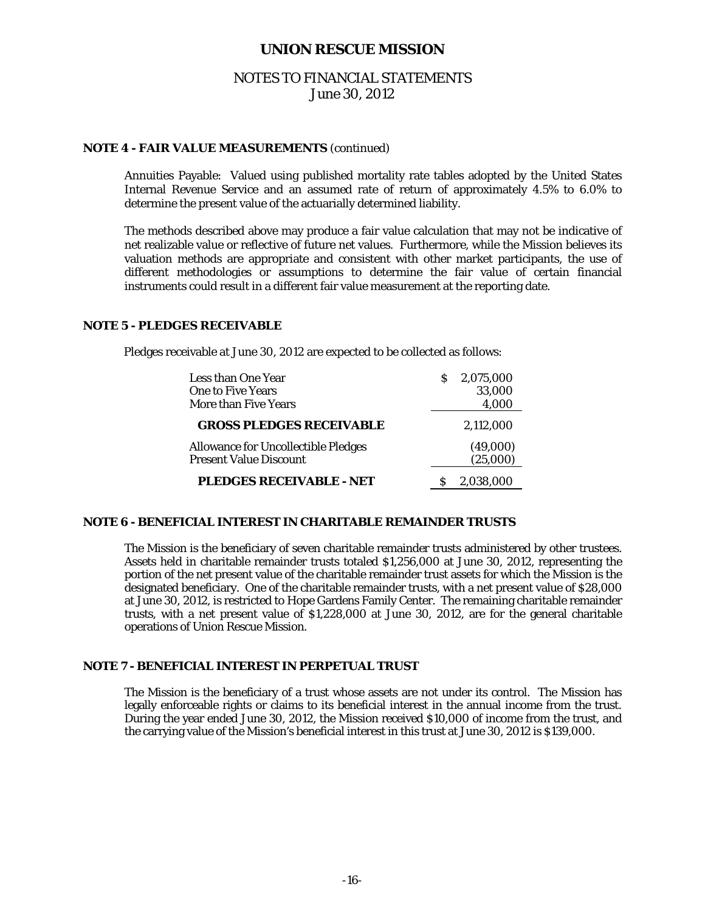## NOTES TO FINANCIAL STATEMENTS June 30, 2012

#### **NOTE 4 - FAIR VALUE MEASUREMENTS** (continued)

 Annuities Payable: Valued using published mortality rate tables adopted by the United States Internal Revenue Service and an assumed rate of return of approximately 4.5% to 6.0% to determine the present value of the actuarially determined liability.

 The methods described above may produce a fair value calculation that may not be indicative of net realizable value or reflective of future net values. Furthermore, while the Mission believes its valuation methods are appropriate and consistent with other market participants, the use of different methodologies or assumptions to determine the fair value of certain financial instruments could result in a different fair value measurement at the reporting date.

#### **NOTE 5 - PLEDGES RECEIVABLE**

Pledges receivable at June 30, 2012 are expected to be collected as follows:

| Less than One Year                         | 2,075,000 |
|--------------------------------------------|-----------|
| <b>One to Five Years</b>                   | 33,000    |
| More than Five Years                       | 4,000     |
| <b>GROSS PLEDGES RECEIVABLE</b>            | 2.112.000 |
| <b>Allowance for Uncollectible Pledges</b> | (49,000)  |
| <b>Present Value Discount</b>              | (25,000)  |
| <b>PLEDGES RECEIVABLE - NET</b>            | 2.038.000 |

#### **NOTE 6 - BENEFICIAL INTEREST IN CHARITABLE REMAINDER TRUSTS**

The Mission is the beneficiary of seven charitable remainder trusts administered by other trustees. Assets held in charitable remainder trusts totaled \$1,256,000 at June 30, 2012, representing the portion of the net present value of the charitable remainder trust assets for which the Mission is the designated beneficiary. One of the charitable remainder trusts, with a net present value of \$28,000 at June 30, 2012, is restricted to Hope Gardens Family Center. The remaining charitable remainder trusts, with a net present value of \$1,228,000 at June 30, 2012, are for the general charitable operations of Union Rescue Mission.

#### **NOTE 7 - BENEFICIAL INTEREST IN PERPETUAL TRUST**

The Mission is the beneficiary of a trust whose assets are not under its control. The Mission has legally enforceable rights or claims to its beneficial interest in the annual income from the trust. During the year ended June 30, 2012, the Mission received \$10,000 of income from the trust, and the carrying value of the Mission's beneficial interest in this trust at June 30, 2012 is \$139,000.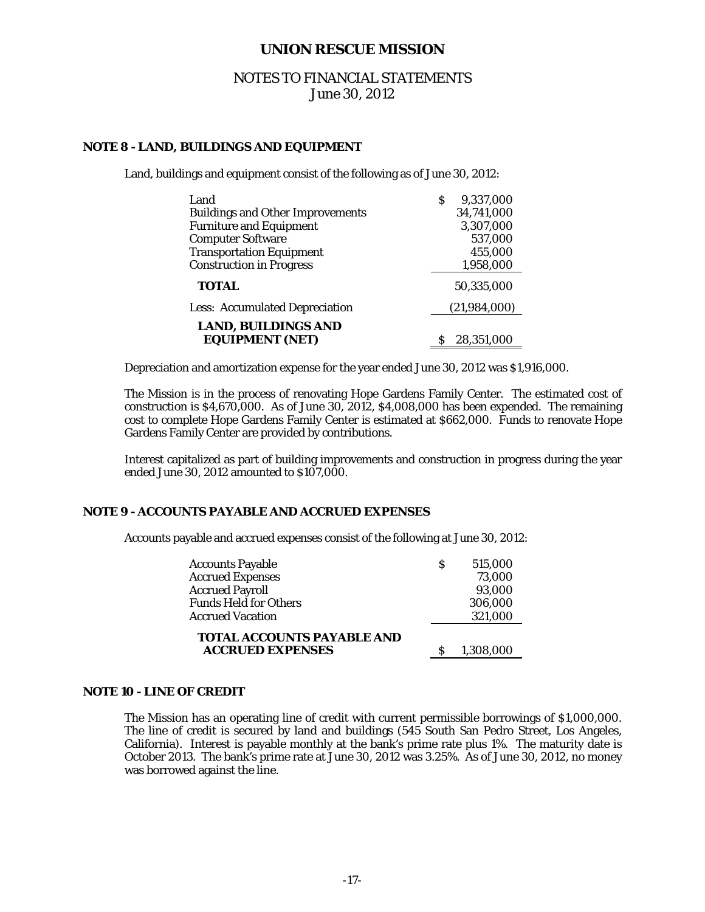## NOTES TO FINANCIAL STATEMENTS June 30, 2012

#### **NOTE 8 - LAND, BUILDINGS AND EQUIPMENT**

Land, buildings and equipment consist of the following as of June 30, 2012:

| Land                                                 | 9,337,000<br>S |
|------------------------------------------------------|----------------|
| <b>Buildings and Other Improvements</b>              | 34,741,000     |
| <b>Furniture and Equipment</b>                       | 3,307,000      |
| <b>Computer Software</b>                             | 537,000        |
| <b>Transportation Equipment</b>                      | 455,000        |
| <b>Construction in Progress</b>                      | 1,958,000      |
| <b>TOTAL</b>                                         | 50,335,000     |
| <b>Less: Accumulated Depreciation</b>                | (21,984,000)   |
| <b>LAND, BUILDINGS AND</b><br><b>EQUIPMENT (NET)</b> | 28,351,000     |

Depreciation and amortization expense for the year ended June 30, 2012 was \$1,916,000.

The Mission is in the process of renovating Hope Gardens Family Center. The estimated cost of construction is \$4,670,000. As of June 30, 2012, \$4,008,000 has been expended. The remaining cost to complete Hope Gardens Family Center is estimated at \$662,000. Funds to renovate Hope Gardens Family Center are provided by contributions.

Interest capitalized as part of building improvements and construction in progress during the year ended June 30, 2012 amounted to \$107,000.

#### **NOTE 9 - ACCOUNTS PAYABLE AND ACCRUED EXPENSES**

Accounts payable and accrued expenses consist of the following at June 30, 2012:

| TOTAL ACCOUNTS PAYABLE AND<br><b>ACCRUED EXPENSES</b> | 1,308,000 |
|-------------------------------------------------------|-----------|
|                                                       |           |
| <b>Accrued Vacation</b>                               | 321,000   |
| <b>Funds Held for Others</b>                          | 306,000   |
| <b>Accrued Payroll</b>                                | 93,000    |
| <b>Accrued Expenses</b>                               | 73,000    |
| <b>Accounts Payable</b>                               | 515,000   |

#### **NOTE 10 - LINE OF CREDIT**

 The Mission has an operating line of credit with current permissible borrowings of \$1,000,000. The line of credit is secured by land and buildings (545 South San Pedro Street, Los Angeles, California). Interest is payable monthly at the bank's prime rate plus 1%. The maturity date is October 2013. The bank's prime rate at June 30, 2012 was 3.25%. As of June 30, 2012, no money was borrowed against the line.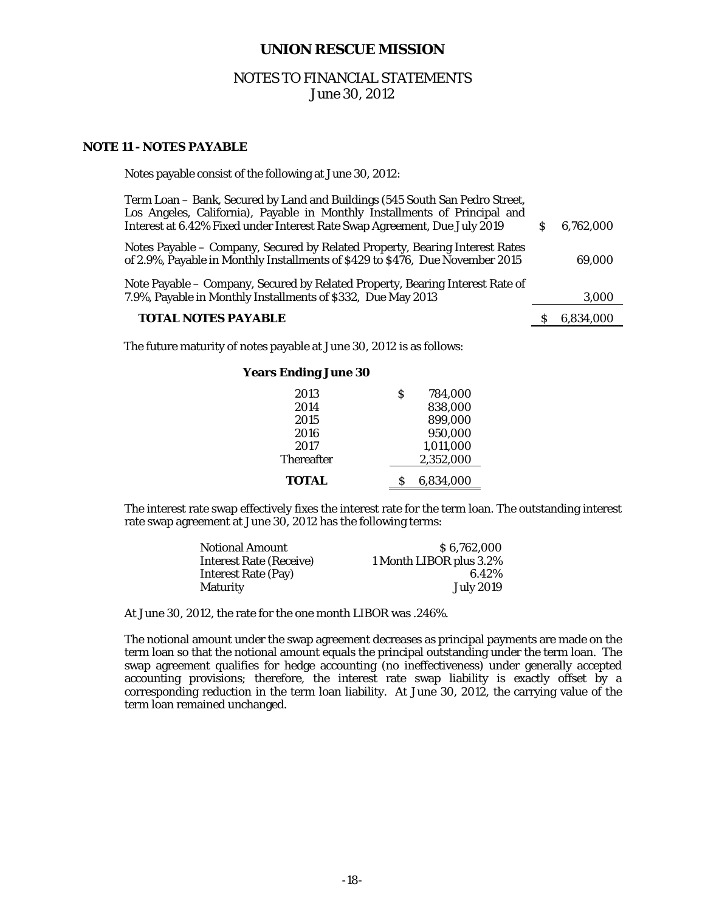## NOTES TO FINANCIAL STATEMENTS June 30, 2012

#### **NOTE 11 - NOTES PAYABLE**

| Interest at 6.42% Fixed under Interest Rate Swap Agreement, Due July 2019 | Term Loan – Bank, Secured by Land and Buildings (545 South San Pedro Street,<br>Los Angeles, California), Payable in Monthly Installments of Principal and    | 6,762,000 |
|---------------------------------------------------------------------------|---------------------------------------------------------------------------------------------------------------------------------------------------------------|-----------|
|                                                                           | Notes Payable – Company, Secured by Related Property, Bearing Interest Rates<br>of 2.9%, Payable in Monthly Installments of \$429 to \$476, Due November 2015 | 69.000    |
| 7.9%, Payable in Monthly Installments of \$332, Due May 2013              | Note Payable – Company, Secured by Related Property, Bearing Interest Rate of                                                                                 | 3.000     |
| <b>TOTAL NOTES PAYABLE</b>                                                |                                                                                                                                                               | 6.834.000 |

The future maturity of notes payable at June 30, 2012 is as follows:

Notes payable consist of the following at June 30, 2012:

#### **Years Ending June 30**

| 2013              | S<br>784.000 |
|-------------------|--------------|
| 2014              | 838,000      |
| 2015              | 899,000      |
| 2016              | 950,000      |
| 2017              | 1,011,000    |
| <b>Thereafter</b> | 2,352,000    |
| <b>TOTAL</b>      | 6,834,000    |

The interest rate swap effectively fixes the interest rate for the term loan. The outstanding interest rate swap agreement at June 30, 2012 has the following terms:

| <b>Notional Amount</b>         | \$6.762,000             |
|--------------------------------|-------------------------|
| <b>Interest Rate (Receive)</b> | 1 Month LIBOR plus 3.2% |
| <b>Interest Rate (Pay)</b>     | 6.42%                   |
| <b>Maturity</b>                | <b>July 2019</b>        |

At June 30, 2012, the rate for the one month LIBOR was .246%.

The notional amount under the swap agreement decreases as principal payments are made on the term loan so that the notional amount equals the principal outstanding under the term loan. The swap agreement qualifies for hedge accounting (no ineffectiveness) under generally accepted accounting provisions; therefore, the interest rate swap liability is exactly offset by a corresponding reduction in the term loan liability. At June 30, 2012, the carrying value of the term loan remained unchanged.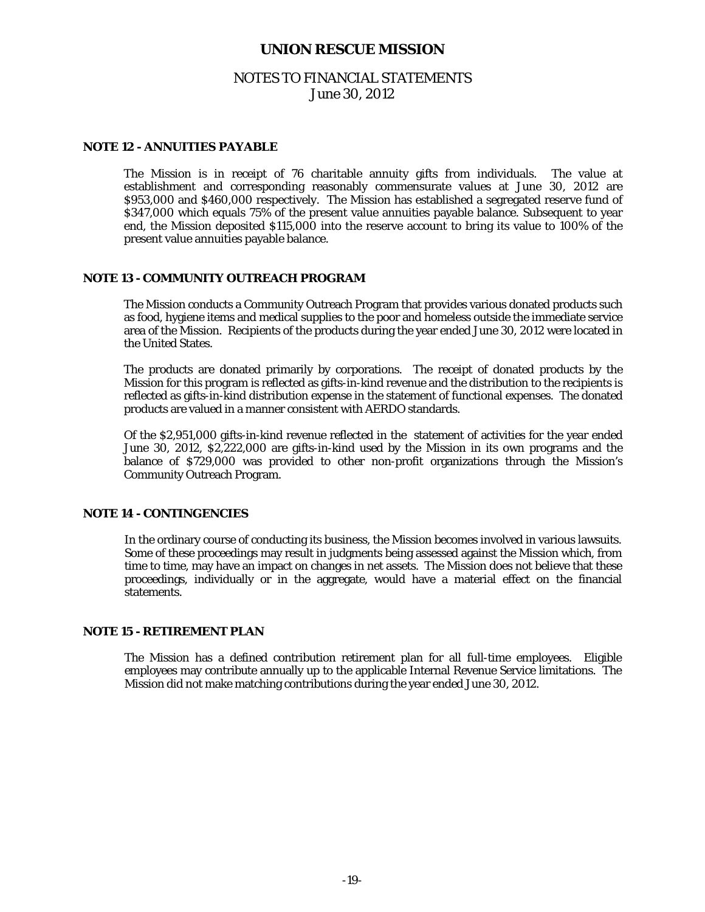## NOTES TO FINANCIAL STATEMENTS June 30, 2012

#### **NOTE 12 - ANNUITIES PAYABLE**

 The Mission is in receipt of 76 charitable annuity gifts from individuals. The value at establishment and corresponding reasonably commensurate values at June 30, 2012 are \$953,000 and \$460,000 respectively. The Mission has established a segregated reserve fund of \$347,000 which equals 75% of the present value annuities payable balance. Subsequent to year end, the Mission deposited \$115,000 into the reserve account to bring its value to 100% of the present value annuities payable balance.

#### **NOTE 13 - COMMUNITY OUTREACH PROGRAM**

The Mission conducts a Community Outreach Program that provides various donated products such as food, hygiene items and medical supplies to the poor and homeless outside the immediate service area of the Mission. Recipients of the products during the year ended June 30, 2012 were located in the United States.

 The products are donated primarily by corporations. The receipt of donated products by the Mission for this program is reflected as gifts-in-kind revenue and the distribution to the recipients is reflected as gifts-in-kind distribution expense in the statement of functional expenses. The donated products are valued in a manner consistent with AERDO standards.

 Of the \$2,951,000 gifts-in-kind revenue reflected in the statement of activities for the year ended June 30, 2012, \$2,222,000 are gifts-in-kind used by the Mission in its own programs and the balance of \$729,000 was provided to other non-profit organizations through the Mission's Community Outreach Program.

#### **NOTE 14 - CONTINGENCIES**

 In the ordinary course of conducting its business, the Mission becomes involved in various lawsuits. Some of these proceedings may result in judgments being assessed against the Mission which, from time to time, may have an impact on changes in net assets. The Mission does not believe that these proceedings, individually or in the aggregate, would have a material effect on the financial statements.

#### **NOTE 15 - RETIREMENT PLAN**

 The Mission has a defined contribution retirement plan for all full-time employees. Eligible employees may contribute annually up to the applicable Internal Revenue Service limitations. The Mission did not make matching contributions during the year ended June 30, 2012.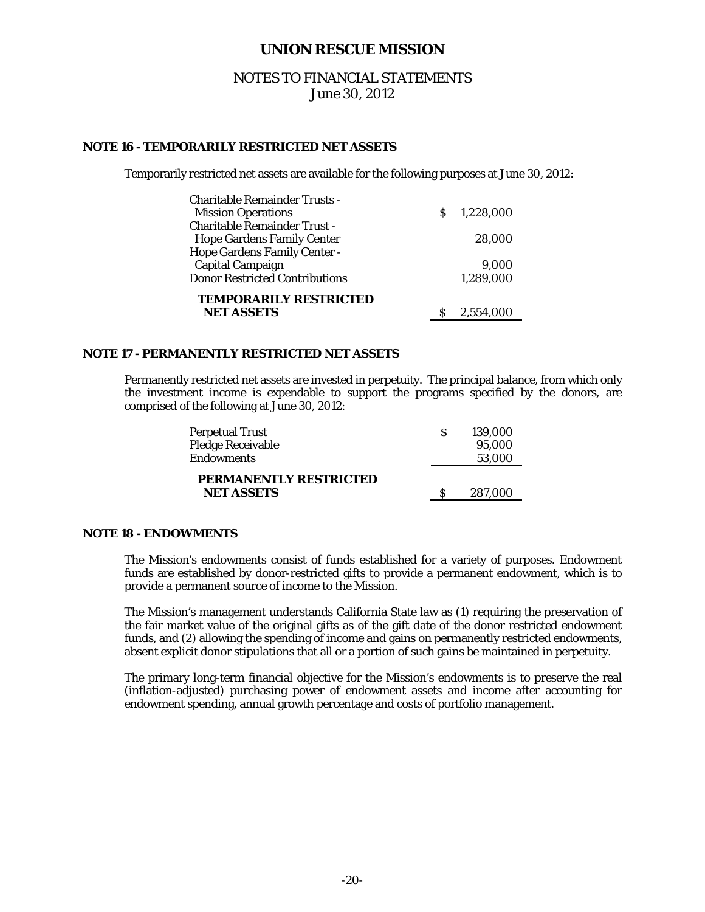## NOTES TO FINANCIAL STATEMENTS June 30, 2012

#### **NOTE 16 - TEMPORARILY RESTRICTED NET ASSETS**

Temporarily restricted net assets are available for the following purposes at June 30, 2012:

| <b>Charitable Remainder Trusts -</b>               |   |           |
|----------------------------------------------------|---|-----------|
| <b>Mission Operations</b>                          | S | 1,228,000 |
| <b>Charitable Remainder Trust -</b>                |   |           |
| <b>Hope Gardens Family Center</b>                  |   | 28,000    |
| Hope Gardens Family Center -                       |   |           |
| <b>Capital Campaign</b>                            |   | 9,000     |
| <b>Donor Restricted Contributions</b>              |   | 1,289,000 |
| <b>TEMPORARILY RESTRICTED</b><br><b>NET ASSETS</b> |   | 2.554.000 |
|                                                    |   |           |

#### **NOTE 17 - PERMANENTLY RESTRICTED NET ASSETS**

 Permanently restricted net assets are invested in perpetuity. The principal balance, from which only the investment income is expendable to support the programs specified by the donors, are comprised of the following at June 30, 2012:

| Perpetual Trust                             | S | 139.000 |
|---------------------------------------------|---|---------|
| Pledge Receivable                           |   | 95,000  |
| <b>Endowments</b>                           |   | 53,000  |
| PERMANENTLY RESTRICTED<br><b>NET ASSETS</b> |   | 287.000 |

#### **NOTE 18 - ENDOWMENTS**

The Mission's endowments consist of funds established for a variety of purposes. Endowment funds are established by donor-restricted gifts to provide a permanent endowment, which is to provide a permanent source of income to the Mission.

The Mission's management understands California State law as (1) requiring the preservation of the fair market value of the original gifts as of the gift date of the donor restricted endowment funds, and (2) allowing the spending of income and gains on permanently restricted endowments, absent explicit donor stipulations that all or a portion of such gains be maintained in perpetuity.

The primary long-term financial objective for the Mission's endowments is to preserve the real (inflation-adjusted) purchasing power of endowment assets and income after accounting for endowment spending, annual growth percentage and costs of portfolio management.